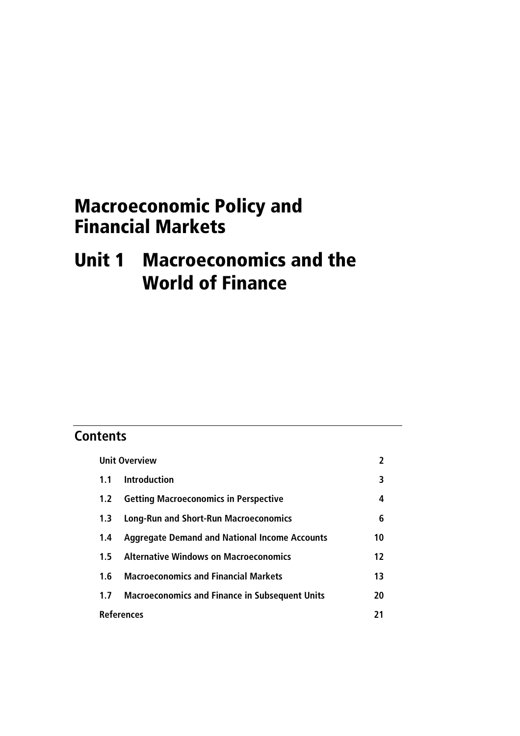# Macroeconomic Policy and Financial Markets

# Unit 1 Macroeconomics and the World of Finance

## **Contents**

| <b>Unit Overview</b> |                                                      | 2  |
|----------------------|------------------------------------------------------|----|
|                      | 1.1 Introduction                                     | 3  |
| 1.2                  | <b>Getting Macroeconomics in Perspective</b>         | 4  |
| 1.3                  | <b>Long-Run and Short-Run Macroeconomics</b>         | 6  |
| 1.4                  | <b>Aggregate Demand and National Income Accounts</b> | 10 |
|                      | 1.5 Alternative Windows on Macroeconomics            | 12 |
| 1.6                  | <b>Macroeconomics and Financial Markets</b>          | 13 |
|                      | 1.7 Macroeconomics and Finance in Subsequent Units   | 20 |
| <b>References</b>    |                                                      | 21 |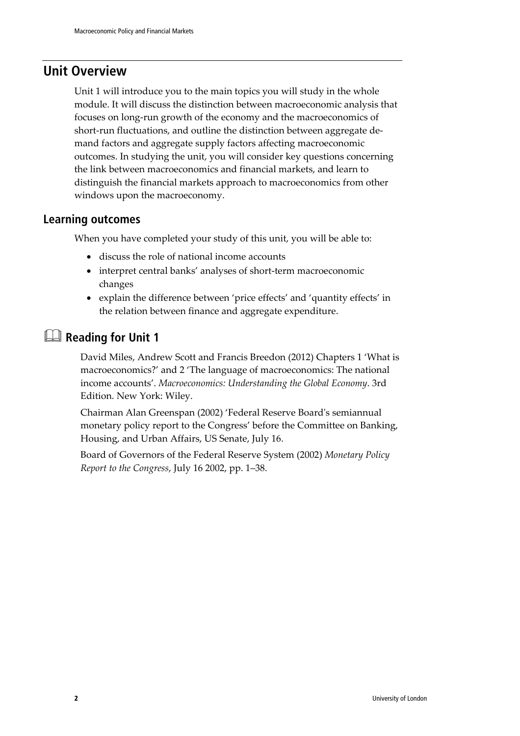## **Unit Overview**

Unit 1 will introduce you to the main topics you will study in the whole module. It will discuss the distinction between macroeconomic analysis that focuses on long-run growth of the economy and the macroeconomics of short-run fluctuations, and outline the distinction between aggregate demand factors and aggregate supply factors affecting macroeconomic outcomes. In studying the unit, you will consider key questions concerning the link between macroeconomics and financial markets, and learn to distinguish the financial markets approach to macroeconomics from other windows upon the macroeconomy.

### **Learning outcomes**

When you have completed your study of this unit, you will be able to:

- discuss the role of national income accounts
- interpret central banks' analyses of short-term macroeconomic changes
- explain the difference between 'price effects' and 'quantity effects' in the relation between finance and aggregate expenditure.

## **Reading for Unit 1**

David Miles, Andrew Scott and Francis Breedon (2012) Chapters 1 'What is macroeconomics?' and 2 'The language of macroeconomics: The national income accounts'. *Macroeconomics: Understanding the Global Economy*. 3rd Edition. New York: Wiley.

Chairman Alan Greenspan (2002) 'Federal Reserve Board's semiannual monetary policy report to the Congress' before the Committee on Banking, Housing, and Urban Affairs, US Senate, July 16.

Board of Governors of the Federal Reserve System (2002) *Monetary Policy Report to the Congress*, July 16 2002, pp. 1–38.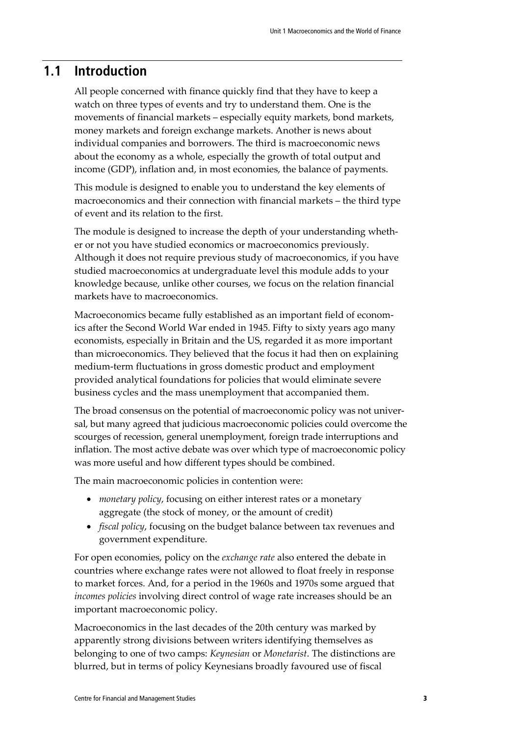### **1.1 Introduction**

All people concerned with finance quickly find that they have to keep a watch on three types of events and try to understand them. One is the movements of financial markets – especially equity markets, bond markets, money markets and foreign exchange markets. Another is news about individual companies and borrowers. The third is macroeconomic news about the economy as a whole, especially the growth of total output and income (GDP), inflation and, in most economies, the balance of payments.

This module is designed to enable you to understand the key elements of macroeconomics and their connection with financial markets – the third type of event and its relation to the first.

The module is designed to increase the depth of your understanding whether or not you have studied economics or macroeconomics previously. Although it does not require previous study of macroeconomics, if you have studied macroeconomics at undergraduate level this module adds to your knowledge because, unlike other courses, we focus on the relation financial markets have to macroeconomics.

Macroeconomics became fully established as an important field of economics after the Second World War ended in 1945. Fifty to sixty years ago many economists, especially in Britain and the US, regarded it as more important than microeconomics. They believed that the focus it had then on explaining medium-term fluctuations in gross domestic product and employment provided analytical foundations for policies that would eliminate severe business cycles and the mass unemployment that accompanied them.

The broad consensus on the potential of macroeconomic policy was not universal, but many agreed that judicious macroeconomic policies could overcome the scourges of recession, general unemployment, foreign trade interruptions and inflation. The most active debate was over which type of macroeconomic policy was more useful and how different types should be combined.

The main macroeconomic policies in contention were:

- *monetary policy*, focusing on either interest rates or a monetary aggregate (the stock of money, or the amount of credit)
- *fiscal policy*, focusing on the budget balance between tax revenues and government expenditure.

For open economies, policy on the *exchange rate* also entered the debate in countries where exchange rates were not allowed to float freely in response to market forces. And, for a period in the 1960s and 1970s some argued that *incomes policies* involving direct control of wage rate increases should be an important macroeconomic policy.

Macroeconomics in the last decades of the 20th century was marked by apparently strong divisions between writers identifying themselves as belonging to one of two camps: *Keynesian* or *Monetarist*. The distinctions are blurred, but in terms of policy Keynesians broadly favoured use of fiscal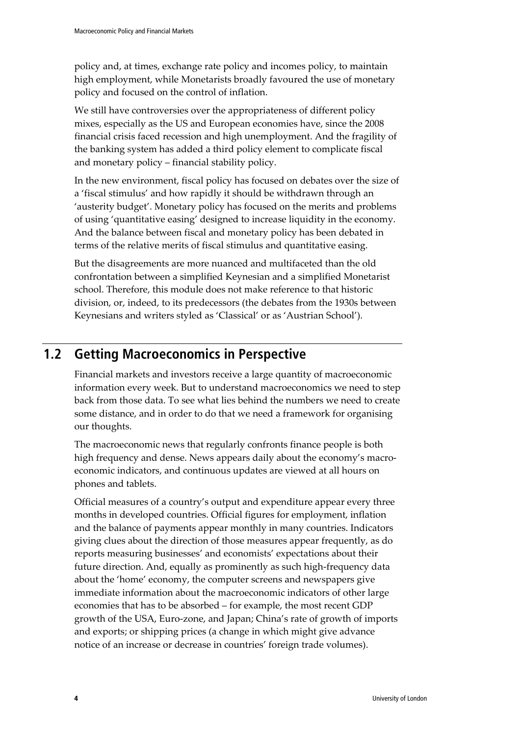policy and, at times, exchange rate policy and incomes policy, to maintain high employment, while Monetarists broadly favoured the use of monetary policy and focused on the control of inflation.

We still have controversies over the appropriateness of different policy mixes, especially as the US and European economies have, since the 2008 financial crisis faced recession and high unemployment. And the fragility of the banking system has added a third policy element to complicate fiscal and monetary policy – financial stability policy.

In the new environment, fiscal policy has focused on debates over the size of a 'fiscal stimulus' and how rapidly it should be withdrawn through an 'austerity budget'. Monetary policy has focused on the merits and problems of using 'quantitative easing' designed to increase liquidity in the economy. And the balance between fiscal and monetary policy has been debated in terms of the relative merits of fiscal stimulus and quantitative easing.

But the disagreements are more nuanced and multifaceted than the old confrontation between a simplified Keynesian and a simplified Monetarist school. Therefore, this module does not make reference to that historic division, or, indeed, to its predecessors (the debates from the 1930s between Keynesians and writers styled as 'Classical' or as 'Austrian School').

## **1.2 Getting Macroeconomics in Perspective**

Financial markets and investors receive a large quantity of macroeconomic information every week. But to understand macroeconomics we need to step back from those data. To see what lies behind the numbers we need to create some distance, and in order to do that we need a framework for organising our thoughts.

The macroeconomic news that regularly confronts finance people is both high frequency and dense. News appears daily about the economy's macroeconomic indicators, and continuous updates are viewed at all hours on phones and tablets.

Official measures of a country's output and expenditure appear every three months in developed countries. Official figures for employment, inflation and the balance of payments appear monthly in many countries. Indicators giving clues about the direction of those measures appear frequently, as do reports measuring businesses' and economists' expectations about their future direction. And, equally as prominently as such high-frequency data about the 'home' economy, the computer screens and newspapers give immediate information about the macroeconomic indicators of other large economies that has to be absorbed – for example, the most recent GDP growth of the USA, Euro-zone, and Japan; China's rate of growth of imports and exports; or shipping prices (a change in which might give advance notice of an increase or decrease in countries' foreign trade volumes).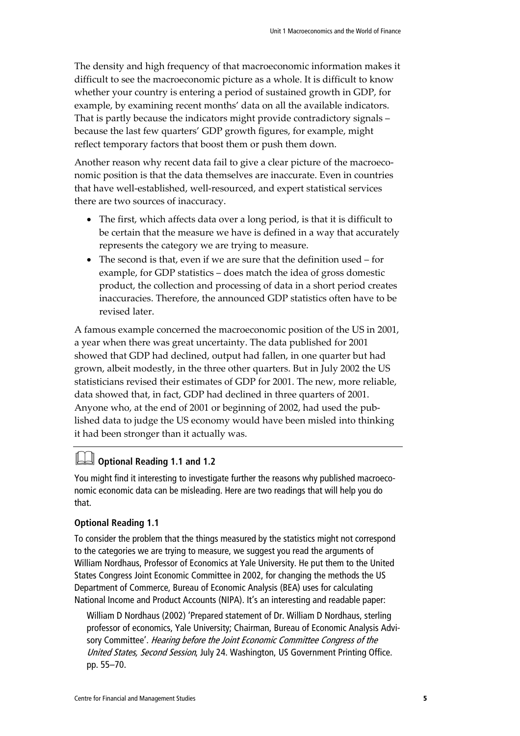The density and high frequency of that macroeconomic information makes it difficult to see the macroeconomic picture as a whole. It is difficult to know whether your country is entering a period of sustained growth in GDP, for example, by examining recent months' data on all the available indicators. That is partly because the indicators might provide contradictory signals – because the last few quarters' GDP growth figures, for example, might reflect temporary factors that boost them or push them down.

Another reason why recent data fail to give a clear picture of the macroeconomic position is that the data themselves are inaccurate. Even in countries that have well-established, well-resourced, and expert statistical services there are two sources of inaccuracy.

- The first, which affects data over a long period, is that it is difficult to be certain that the measure we have is defined in a way that accurately represents the category we are trying to measure.
- The second is that, even if we are sure that the definition used for example, for GDP statistics – does match the idea of gross domestic product, the collection and processing of data in a short period creates inaccuracies. Therefore, the announced GDP statistics often have to be revised later.

A famous example concerned the macroeconomic position of the US in 2001, a year when there was great uncertainty. The data published for 2001 showed that GDP had declined, output had fallen, in one quarter but had grown, albeit modestly, in the three other quarters. But in July 2002 the US statisticians revised their estimates of GDP for 2001. The new, more reliable, data showed that, in fact, GDP had declined in three quarters of 2001. Anyone who, at the end of 2001 or beginning of 2002, had used the published data to judge the US economy would have been misled into thinking it had been stronger than it actually was.

### **Optional Reading 1.1 and 1.2**

You might find it interesting to investigate further the reasons why published macroeconomic economic data can be misleading. Here are two readings that will help you do that.

### **Optional Reading 1.1**

To consider the problem that the things measured by the statistics might not correspond to the categories we are trying to measure, we suggest you read the arguments of William Nordhaus, Professor of Economics at Yale University. He put them to the United States Congress Joint Economic Committee in 2002, for changing the methods the US Department of Commerce, Bureau of Economic Analysis (BEA) uses for calculating National Income and Product Accounts (NIPA). It's an interesting and readable paper:

William D Nordhaus (2002) 'Prepared statement of Dr. William D Nordhaus, sterling professor of economics, Yale University; Chairman, Bureau of Economic Analysis Advisory Committee'. Hearing before the Joint Economic Committee Congress of the United States, Second Session, July 24. Washington, US Government Printing Office. pp. 55–70.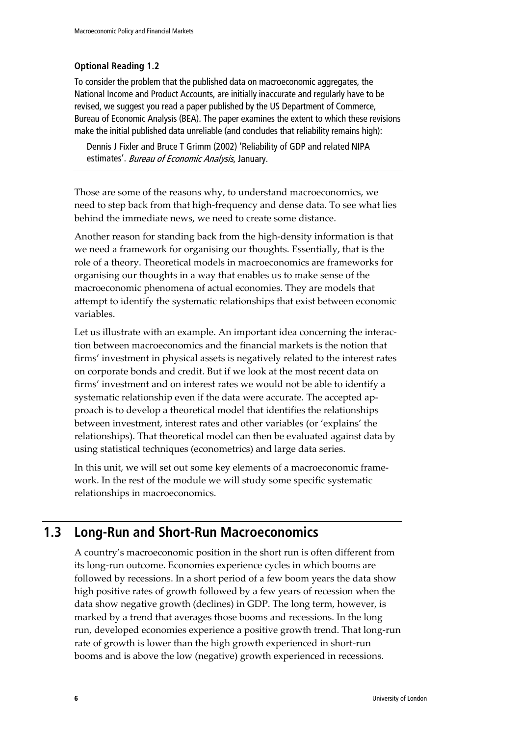### **Optional Reading 1.2**

To consider the problem that the published data on macroeconomic aggregates, the National Income and Product Accounts, are initially inaccurate and regularly have to be revised, we suggest you read a paper published by the US Department of Commerce, Bureau of Economic Analysis (BEA). The paper examines the extent to which these revisions make the initial published data unreliable (and concludes that reliability remains high):

Dennis J Fixler and Bruce T Grimm (2002) 'Reliability of GDP and related NIPA estimates'. Bureau of Economic Analysis, January.

Those are some of the reasons why, to understand macroeconomics, we need to step back from that high-frequency and dense data. To see what lies behind the immediate news, we need to create some distance.

Another reason for standing back from the high-density information is that we need a framework for organising our thoughts. Essentially, that is the role of a theory. Theoretical models in macroeconomics are frameworks for organising our thoughts in a way that enables us to make sense of the macroeconomic phenomena of actual economies. They are models that attempt to identify the systematic relationships that exist between economic variables.

Let us illustrate with an example. An important idea concerning the interaction between macroeconomics and the financial markets is the notion that firms' investment in physical assets is negatively related to the interest rates on corporate bonds and credit. But if we look at the most recent data on firms' investment and on interest rates we would not be able to identify a systematic relationship even if the data were accurate. The accepted approach is to develop a theoretical model that identifies the relationships between investment, interest rates and other variables (or 'explains' the relationships). That theoretical model can then be evaluated against data by using statistical techniques (econometrics) and large data series.

In this unit, we will set out some key elements of a macroeconomic framework. In the rest of the module we will study some specific systematic relationships in macroeconomics.

## **1.3 Long-Run and Short-Run Macroeconomics**

A country's macroeconomic position in the short run is often different from its long-run outcome. Economies experience cycles in which booms are followed by recessions. In a short period of a few boom years the data show high positive rates of growth followed by a few years of recession when the data show negative growth (declines) in GDP. The long term, however, is marked by a trend that averages those booms and recessions. In the long run, developed economies experience a positive growth trend. That long-run rate of growth is lower than the high growth experienced in short-run booms and is above the low (negative) growth experienced in recessions.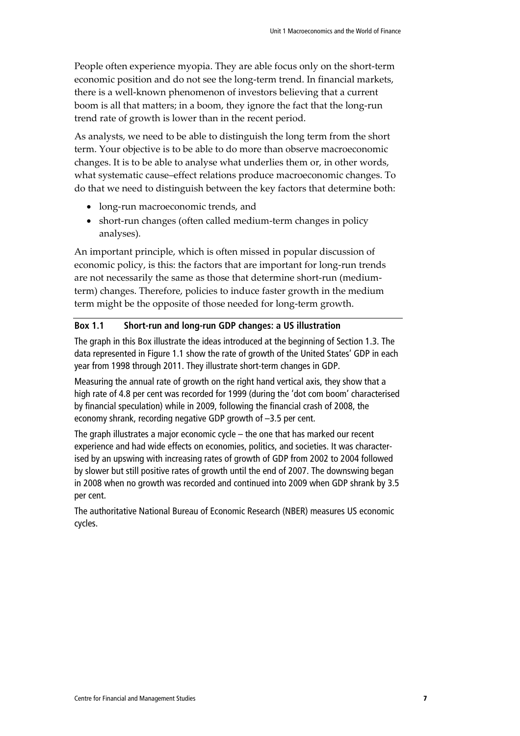People often experience myopia. They are able focus only on the short-term economic position and do not see the long-term trend. In financial markets, there is a well-known phenomenon of investors believing that a current boom is all that matters; in a boom, they ignore the fact that the long-run trend rate of growth is lower than in the recent period.

As analysts, we need to be able to distinguish the long term from the short term. Your objective is to be able to do more than observe macroeconomic changes. It is to be able to analyse what underlies them or, in other words, what systematic cause–effect relations produce macroeconomic changes. To do that we need to distinguish between the key factors that determine both:

- long-run macroeconomic trends, and
- short-run changes (often called medium-term changes in policy analyses).

An important principle, which is often missed in popular discussion of economic policy, is this: the factors that are important for long-run trends are not necessarily the same as those that determine short-run (mediumterm) changes. Therefore, policies to induce faster growth in the medium term might be the opposite of those needed for long-term growth.

#### **Box 1.1 Short-run and long-run GDP changes: a US illustration**

The graph in this Box illustrate the ideas introduced at the beginning of Section 1.3. The data represented in Figure 1.1 show the rate of growth of the United States' GDP in each year from 1998 through 2011. They illustrate short-term changes in GDP.

Measuring the annual rate of growth on the right hand vertical axis, they show that a high rate of 4.8 per cent was recorded for 1999 (during the 'dot com boom' characterised by financial speculation) while in 2009, following the financial crash of 2008, the economy shrank, recording negative GDP growth of –3.5 per cent.

The graph illustrates a major economic cycle – the one that has marked our recent experience and had wide effects on economies, politics, and societies. It was characterised by an upswing with increasing rates of growth of GDP from 2002 to 2004 followed by slower but still positive rates of growth until the end of 2007. The downswing began in 2008 when no growth was recorded and continued into 2009 when GDP shrank by 3.5 per cent.

The authoritative National Bureau of Economic Research (NBER) measures US economic cycles.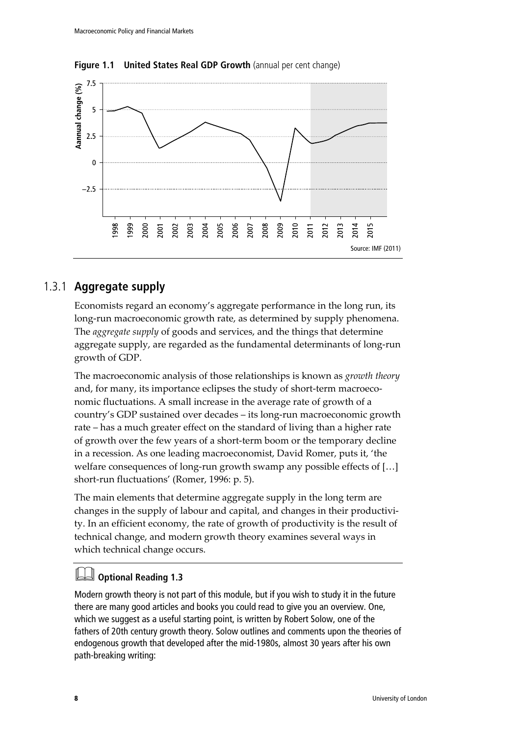

**Figure 1.1 United States Real GDP Growth** (annual per cent change)

### 1.3.1 **Aggregate supply**

Economists regard an economy's aggregate performance in the long run, its long-run macroeconomic growth rate, as determined by supply phenomena. The *aggregate supply* of goods and services, and the things that determine aggregate supply, are regarded as the fundamental determinants of long-run growth of GDP.

The macroeconomic analysis of those relationships is known as *growth theory* and, for many, its importance eclipses the study of short-term macroeconomic fluctuations. A small increase in the average rate of growth of a country's GDP sustained over decades – its long-run macroeconomic growth rate – has a much greater effect on the standard of living than a higher rate of growth over the few years of a short-term boom or the temporary decline in a recession. As one leading macroeconomist, David Romer, puts it, 'the welfare consequences of long-run growth swamp any possible effects of […] short-run fluctuations' (Romer, 1996: p. 5).

The main elements that determine aggregate supply in the long term are changes in the supply of labour and capital, and changes in their productivity. In an efficient economy, the rate of growth of productivity is the result of technical change, and modern growth theory examines several ways in which technical change occurs.

### **Optional Reading 1.3**

Modern growth theory is not part of this module, but if you wish to study it in the future there are many good articles and books you could read to give you an overview. One, which we suggest as a useful starting point, is written by Robert Solow, one of the fathers of 20th century growth theory. Solow outlines and comments upon the theories of endogenous growth that developed after the mid-1980s, almost 30 years after his own path-breaking writing: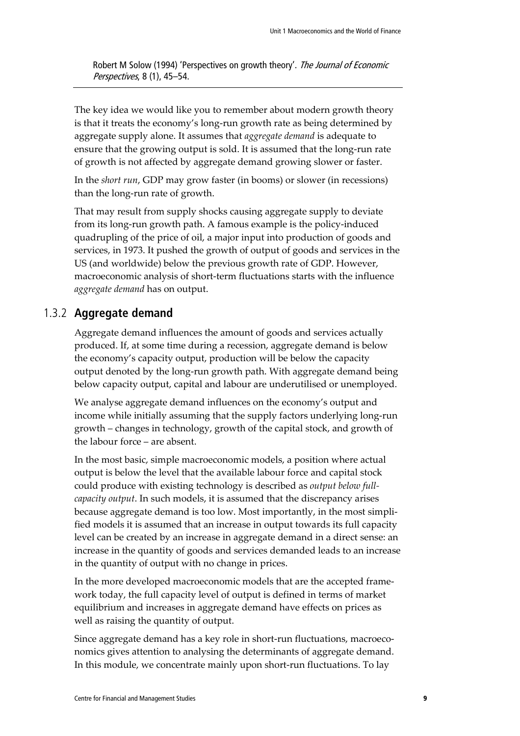Robert M Solow (1994) 'Perspectives on growth theory'. The Journal of Economic Perspectives, 8 (1), 45–54.

The key idea we would like you to remember about modern growth theory is that it treats the economy's long-run growth rate as being determined by aggregate supply alone. It assumes that *aggregate demand* is adequate to ensure that the growing output is sold. It is assumed that the long-run rate of growth is not affected by aggregate demand growing slower or faster.

In the *short run*, GDP may grow faster (in booms) or slower (in recessions) than the long-run rate of growth.

That may result from supply shocks causing aggregate supply to deviate from its long-run growth path. A famous example is the policy-induced quadrupling of the price of oil, a major input into production of goods and services, in 1973. It pushed the growth of output of goods and services in the US (and worldwide) below the previous growth rate of GDP. However, macroeconomic analysis of short-term fluctuations starts with the influence *aggregate demand* has on output.

### 1.3.2 **Aggregate demand**

Aggregate demand influences the amount of goods and services actually produced. If, at some time during a recession, aggregate demand is below the economy's capacity output, production will be below the capacity output denoted by the long-run growth path. With aggregate demand being below capacity output, capital and labour are underutilised or unemployed.

We analyse aggregate demand influences on the economy's output and income while initially assuming that the supply factors underlying long-run growth – changes in technology, growth of the capital stock, and growth of the labour force – are absent.

In the most basic, simple macroeconomic models, a position where actual output is below the level that the available labour force and capital stock could produce with existing technology is described as *output below fullcapacity output*. In such models, it is assumed that the discrepancy arises because aggregate demand is too low. Most importantly, in the most simplified models it is assumed that an increase in output towards its full capacity level can be created by an increase in aggregate demand in a direct sense: an increase in the quantity of goods and services demanded leads to an increase in the quantity of output with no change in prices.

In the more developed macroeconomic models that are the accepted framework today, the full capacity level of output is defined in terms of market equilibrium and increases in aggregate demand have effects on prices as well as raising the quantity of output.

Since aggregate demand has a key role in short-run fluctuations, macroeconomics gives attention to analysing the determinants of aggregate demand. In this module, we concentrate mainly upon short-run fluctuations. To lay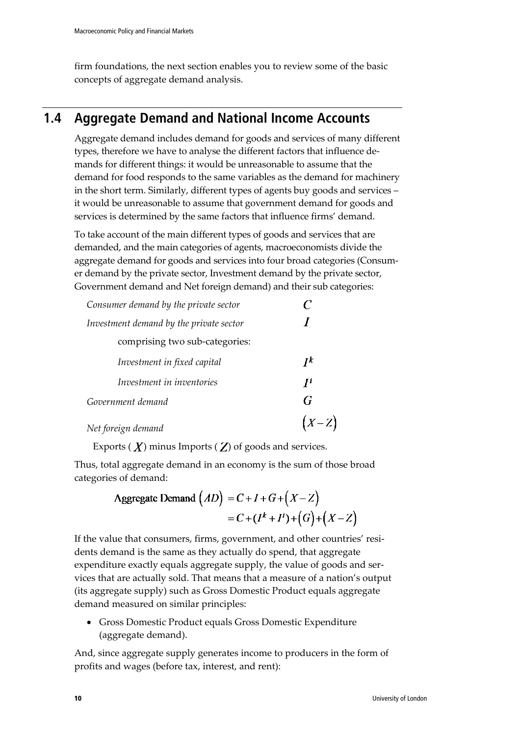firm foundations, the next section enables you to review some of the basic concepts of aggregate demand analysis.

## **1.4 Aggregate Demand and National Income Accounts**

Aggregate demand includes demand for goods and services of many different types, therefore we have to analyse the different factors that influence demands for different things: it would be unreasonable to assume that the demand for food responds to the same variables as the demand for machinery in the short term. Similarly, different types of agents buy goods and services – it would be unreasonable to assume that government demand for goods and services is determined by the same factors that influence firms' demand.

To take account of the main different types of goods and services that are demanded, and the main categories of agents, macroeconomists divide the aggregate demand for goods and services into four broad categories (Consumer demand by the private sector, Investment demand by the private sector, Government demand and Net foreign demand) and their sub categories:

| Consumer demand by the private sector   |                                   |
|-----------------------------------------|-----------------------------------|
| Investment demand by the private sector |                                   |
| comprising two sub-categories:          |                                   |
| Investment in fixed capital             | $\boldsymbol{I}^{\boldsymbol{k}}$ |
| Investment in inventories               | $\boldsymbol{\mathsf{I}}$         |
| Government demand                       | G                                 |
| Net foreign demand                      | $(X-Z$                            |

Exports  $(X)$  minus Imports  $(Z)$  of goods and services.

Thus, total aggregate demand in an economy is the sum of those broad categories of demand:

$$
\text{Aggregate Demand} \left( AD \right) = C + I + G + \left( X - Z \right) \\ = C + \left( I^k + I^i \right) + \left( G \right) + \left( X - Z \right)
$$

If the value that consumers, firms, government, and other countries' residents demand is the same as they actually do spend, that aggregate expenditure exactly equals aggregate supply, the value of goods and services that are actually sold. That means that a measure of a nation's output (its aggregate supply) such as Gross Domestic Product equals aggregate demand measured on similar principles:

• Gross Domestic Product equals Gross Domestic Expenditure (aggregate demand).

And, since aggregate supply generates income to producers in the form of profits and wages (before tax, interest, and rent):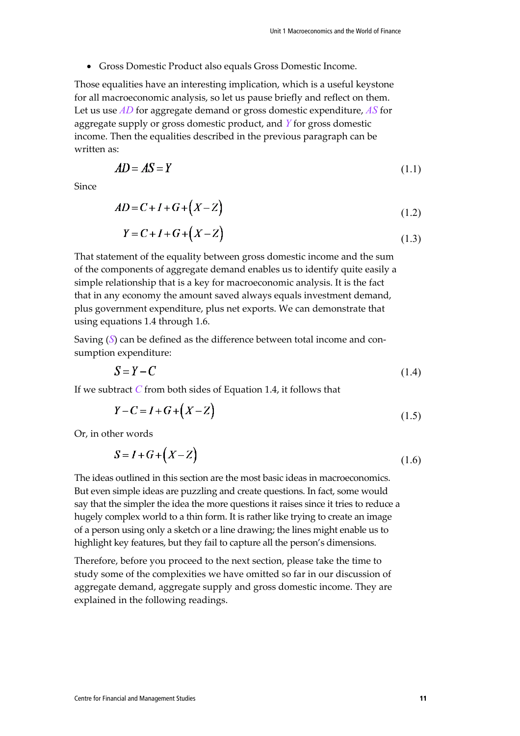• Gross Domestic Product also equals Gross Domestic Income.

Those equalities have an interesting implication, which is a useful keystone for all macroeconomic analysis, so let us pause briefly and reflect on them. Let us use *AD* for aggregate demand or gross domestic expenditure, *AS* for aggregate supply or gross domestic product, and *Y* for gross domestic income. Then the equalities described in the previous paragraph can be written as:

$$
AD = AS = Y \tag{1.1}
$$

Since

$$
AD = C + I + G + (X - Z) \tag{1.2}
$$

$$
Y = C + I + G + (X - Z)
$$
\n(1.3)

That statement of the equality between gross domestic income and the sum of the components of aggregate demand enables us to identify quite easily a simple relationship that is a key for macroeconomic analysis. It is the fact that in any economy the amount saved always equals investment demand, plus government expenditure, plus net exports. We can demonstrate that using equations 1.4 through 1.6.

Saving (*S*) can be defined as the difference between total income and consumption expenditure:

$$
S = Y - C \tag{1.4}
$$

If we subtract *C* from both sides of Equation 1.4, it follows that

$$
Y - C = I + G + \left(X - Z\right) \tag{1.5}
$$

Or, in other words

$$
S = I + G + \left(X - Z\right) \tag{1.6}
$$

The ideas outlined in this section are the most basic ideas in macroeconomics. But even simple ideas are puzzling and create questions. In fact, some would say that the simpler the idea the more questions it raises since it tries to reduce a hugely complex world to a thin form. It is rather like trying to create an image of a person using only a sketch or a line drawing; the lines might enable us to highlight key features, but they fail to capture all the person's dimensions.

Therefore, before you proceed to the next section, please take the time to study some of the complexities we have omitted so far in our discussion of aggregate demand, aggregate supply and gross domestic income. They are explained in the following readings.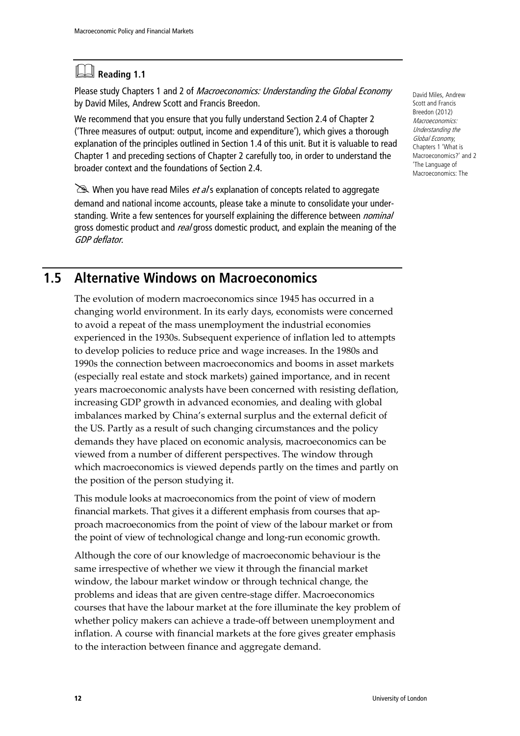## **Reading 1.1**

Please study Chapters 1 and 2 of Macroeconomics: Understanding the Global Economy by David Miles, Andrew Scott and Francis Breedon.

We recommend that you ensure that you fully understand Section 2.4 of Chapter 2 ('Three measures of output: output, income and expenditure'), which gives a thorough explanation of the principles outlined in Section 1.4 of this unit. But it is valuable to read Chapter 1 and preceding sections of Chapter 2 carefully too, in order to understand the broader context and the foundations of Section 2.4.

 $\geq$  When you have read Miles *et al* s explanation of concepts related to aggregate demand and national income accounts, please take a minute to consolidate your understanding. Write a few sentences for yourself explaining the difference between *nominal* gross domestic product and *real* gross domestic product, and explain the meaning of the GDP deflator.

David Miles, Andrew Scott and Francis Breedon (2012) Macroeconomics: Understanding the Global Economy, Chapters 1 'What is Macroeconomics?' and 2 'The Language of Macroeconomics: The

## **1.5 Alternative Windows on Macroeconomics**

The evolution of modern macroeconomics since 1945 has occurred in a changing world environment. In its early days, economists were concerned to avoid a repeat of the mass unemployment the industrial economies experienced in the 1930s. Subsequent experience of inflation led to attempts to develop policies to reduce price and wage increases. In the 1980s and 1990s the connection between macroeconomics and booms in asset markets (especially real estate and stock markets) gained importance, and in recent years macroeconomic analysts have been concerned with resisting deflation, increasing GDP growth in advanced economies, and dealing with global imbalances marked by China's external surplus and the external deficit of the US. Partly as a result of such changing circumstances and the policy demands they have placed on economic analysis, macroeconomics can be viewed from a number of different perspectives. The window through which macroeconomics is viewed depends partly on the times and partly on the position of the person studying it.

This module looks at macroeconomics from the point of view of modern financial markets. That gives it a different emphasis from courses that approach macroeconomics from the point of view of the labour market or from the point of view of technological change and long-run economic growth.

Although the core of our knowledge of macroeconomic behaviour is the same irrespective of whether we view it through the financial market window, the labour market window or through technical change, the problems and ideas that are given centre-stage differ. Macroeconomics courses that have the labour market at the fore illuminate the key problem of whether policy makers can achieve a trade-off between unemployment and inflation. A course with financial markets at the fore gives greater emphasis to the interaction between finance and aggregate demand.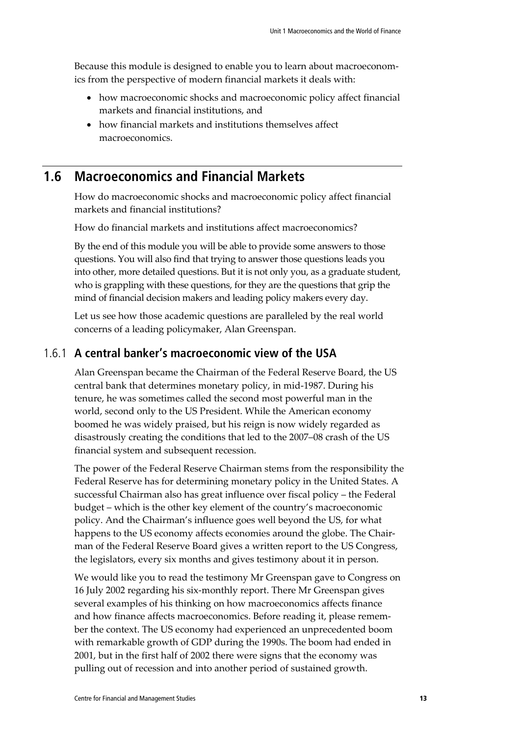Because this module is designed to enable you to learn about macroeconomics from the perspective of modern financial markets it deals with:

- how macroeconomic shocks and macroeconomic policy affect financial markets and financial institutions, and
- how financial markets and institutions themselves affect macroeconomics.

### **1.6 Macroeconomics and Financial Markets**

How do macroeconomic shocks and macroeconomic policy affect financial markets and financial institutions?

How do financial markets and institutions affect macroeconomics?

By the end of this module you will be able to provide some answers to those questions. You will also find that trying to answer those questions leads you into other, more detailed questions. But it is not only you, as a graduate student, who is grappling with these questions, for they are the questions that grip the mind of financial decision makers and leading policy makers every day.

Let us see how those academic questions are paralleled by the real world concerns of a leading policymaker, Alan Greenspan.

### 1.6.1 **A central banker's macroeconomic view of the USA**

Alan Greenspan became the Chairman of the Federal Reserve Board, the US central bank that determines monetary policy, in mid-1987. During his tenure, he was sometimes called the second most powerful man in the world, second only to the US President. While the American economy boomed he was widely praised, but his reign is now widely regarded as disastrously creating the conditions that led to the 2007–08 crash of the US financial system and subsequent recession.

The power of the Federal Reserve Chairman stems from the responsibility the Federal Reserve has for determining monetary policy in the United States. A successful Chairman also has great influence over fiscal policy – the Federal budget – which is the other key element of the country's macroeconomic policy. And the Chairman's influence goes well beyond the US, for what happens to the US economy affects economies around the globe. The Chairman of the Federal Reserve Board gives a written report to the US Congress, the legislators, every six months and gives testimony about it in person.

We would like you to read the testimony Mr Greenspan gave to Congress on 16 July 2002 regarding his six-monthly report. There Mr Greenspan gives several examples of his thinking on how macroeconomics affects finance and how finance affects macroeconomics. Before reading it, please remember the context. The US economy had experienced an unprecedented boom with remarkable growth of GDP during the 1990s. The boom had ended in 2001, but in the first half of 2002 there were signs that the economy was pulling out of recession and into another period of sustained growth.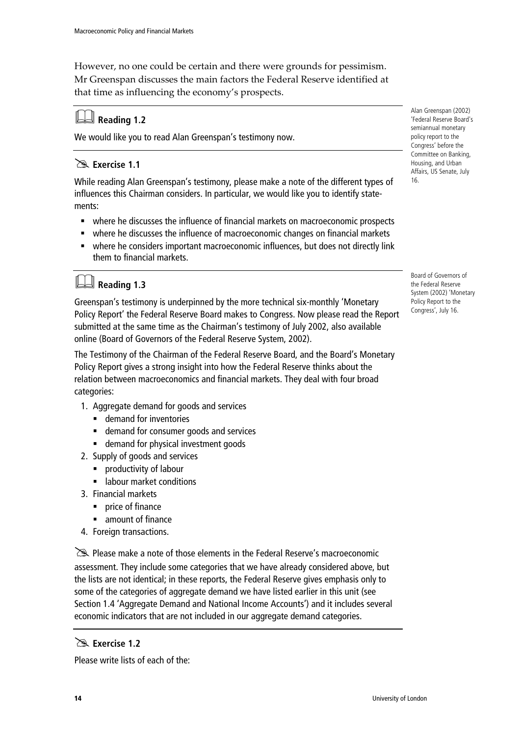However, no one could be certain and there were grounds for pessimism. Mr Greenspan discusses the main factors the Federal Reserve identified at that time as influencing the economy's prospects.

## **Reading 1.2**

We would like you to read Alan Greenspan's testimony now.

### **Exercise 1.1**

While reading Alan Greenspan's testimony, please make a note of the different types of influences this Chairman considers. In particular, we would like you to identify statements:

- where he discusses the influence of financial markets on macroeconomic prospects
- where he discusses the influence of macroeconomic changes on financial markets
- where he considers important macroeconomic influences, but does not directly link them to financial markets.

## **Reading 1.3**

Greenspan's testimony is underpinned by the more technical six-monthly 'Monetary Policy Report' the Federal Reserve Board makes to Congress. Now please read the Report submitted at the same time as the Chairman's testimony of July 2002, also available online (Board of Governors of the Federal Reserve System, 2002).

The Testimony of the Chairman of the Federal Reserve Board, and the Board's Monetary Policy Report gives a strong insight into how the Federal Reserve thinks about the relation between macroeconomics and financial markets. They deal with four broad categories:

- 1. Aggregate demand for goods and services
	- **EXECUTE:** demand for inventories
	- demand for consumer goods and services
	- demand for physical investment goods
- 2. Supply of goods and services
	- **Productivity of labour**
	- **EXECUTE:** labour market conditions
- 3. Financial markets
	- $\blacksquare$  price of finance
	- amount of finance
- 4. Foreign transactions.

Please make a note of those elements in the Federal Reserve's macroeconomic assessment. They include some categories that we have already considered above, but the lists are not identical; in these reports, the Federal Reserve gives emphasis only to some of the categories of aggregate demand we have listed earlier in this unit (see Section 1.4 'Aggregate Demand and National Income Accounts') and it includes several economic indicators that are not included in our aggregate demand categories.

### **Exercise 1.2**

Please write lists of each of the:

Alan Greenspan (2002) 'Federal Reserve Board's semiannual monetary policy report to the Congress' before the Committee on Banking, Housing, and Urban Affairs, US Senate, July 16.

Board of Governors of the Federal Reserve System (2002) 'Monetary Policy Report to the Congress', July 16.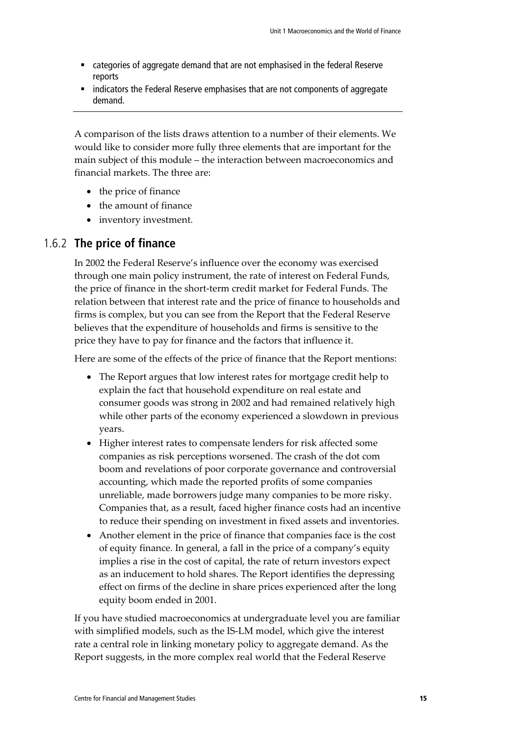- categories of aggregate demand that are not emphasised in the federal Reserve reports
- **EXEDER** indicators the Federal Reserve emphasises that are not components of aggregate demand.

A comparison of the lists draws attention to a number of their elements. We would like to consider more fully three elements that are important for the main subject of this module – the interaction between macroeconomics and financial markets. The three are:

- the price of finance
- the amount of finance
- inventory investment.

### 1.6.2 **The price of finance**

In 2002 the Federal Reserve's influence over the economy was exercised through one main policy instrument, the rate of interest on Federal Funds, the price of finance in the short-term credit market for Federal Funds. The relation between that interest rate and the price of finance to households and firms is complex, but you can see from the Report that the Federal Reserve believes that the expenditure of households and firms is sensitive to the price they have to pay for finance and the factors that influence it.

Here are some of the effects of the price of finance that the Report mentions:

- The Report argues that low interest rates for mortgage credit help to explain the fact that household expenditure on real estate and consumer goods was strong in 2002 and had remained relatively high while other parts of the economy experienced a slowdown in previous years.
- Higher interest rates to compensate lenders for risk affected some companies as risk perceptions worsened. The crash of the dot com boom and revelations of poor corporate governance and controversial accounting, which made the reported profits of some companies unreliable, made borrowers judge many companies to be more risky. Companies that, as a result, faced higher finance costs had an incentive to reduce their spending on investment in fixed assets and inventories.
- Another element in the price of finance that companies face is the cost of equity finance. In general, a fall in the price of a company's equity implies a rise in the cost of capital, the rate of return investors expect as an inducement to hold shares. The Report identifies the depressing effect on firms of the decline in share prices experienced after the long equity boom ended in 2001.

If you have studied macroeconomics at undergraduate level you are familiar with simplified models, such as the IS-LM model, which give the interest rate a central role in linking monetary policy to aggregate demand. As the Report suggests, in the more complex real world that the Federal Reserve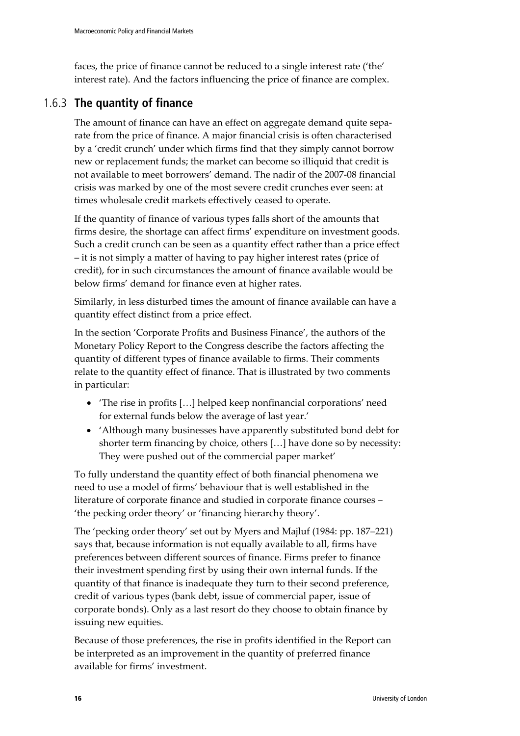faces, the price of finance cannot be reduced to a single interest rate ('the' interest rate). And the factors influencing the price of finance are complex.

### 1.6.3 **The quantity of finance**

The amount of finance can have an effect on aggregate demand quite separate from the price of finance. A major financial crisis is often characterised by a 'credit crunch' under which firms find that they simply cannot borrow new or replacement funds; the market can become so illiquid that credit is not available to meet borrowers' demand. The nadir of the 2007-08 financial crisis was marked by one of the most severe credit crunches ever seen: at times wholesale credit markets effectively ceased to operate.

If the quantity of finance of various types falls short of the amounts that firms desire, the shortage can affect firms' expenditure on investment goods. Such a credit crunch can be seen as a quantity effect rather than a price effect – it is not simply a matter of having to pay higher interest rates (price of credit), for in such circumstances the amount of finance available would be below firms' demand for finance even at higher rates.

Similarly, in less disturbed times the amount of finance available can have a quantity effect distinct from a price effect.

In the section 'Corporate Profits and Business Finance', the authors of the Monetary Policy Report to the Congress describe the factors affecting the quantity of different types of finance available to firms. Their comments relate to the quantity effect of finance. That is illustrated by two comments in particular:

- 'The rise in profits […] helped keep nonfinancial corporations' need for external funds below the average of last year.'
- 'Although many businesses have apparently substituted bond debt for shorter term financing by choice, others […] have done so by necessity: They were pushed out of the commercial paper market'

To fully understand the quantity effect of both financial phenomena we need to use a model of firms' behaviour that is well established in the literature of corporate finance and studied in corporate finance courses – 'the pecking order theory' or 'financing hierarchy theory'.

The 'pecking order theory' set out by Myers and Majluf (1984: pp. 187–221) says that, because information is not equally available to all, firms have preferences between different sources of finance. Firms prefer to finance their investment spending first by using their own internal funds. If the quantity of that finance is inadequate they turn to their second preference, credit of various types (bank debt, issue of commercial paper, issue of corporate bonds). Only as a last resort do they choose to obtain finance by issuing new equities.

Because of those preferences, the rise in profits identified in the Report can be interpreted as an improvement in the quantity of preferred finance available for firms' investment.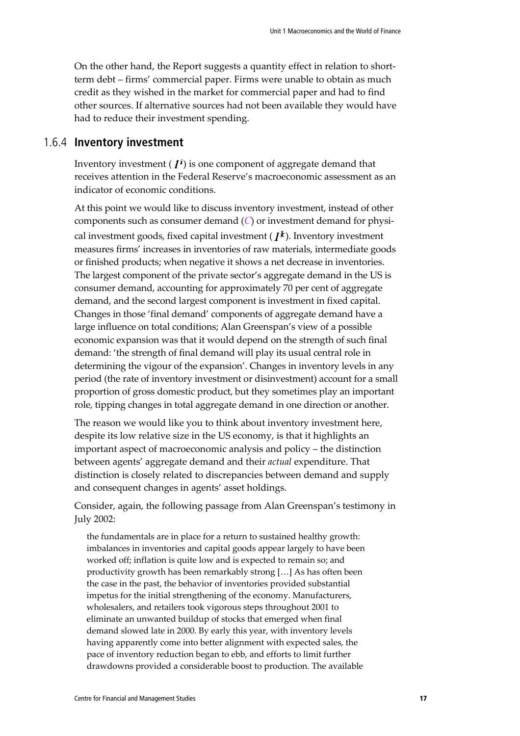On the other hand, the Report suggests a quantity effect in relation to shortterm debt – firms' commercial paper. Firms were unable to obtain as much credit as they wished in the market for commercial paper and had to find other sources. If alternative sources had not been available they would have had to reduce their investment spending.

### 1.6.4 **Inventory investment**

Inventory investment  $(I^i)$  is one component of aggregate demand that receives attention in the Federal Reserve's macroeconomic assessment as an indicator of economic conditions.

At this point we would like to discuss inventory investment, instead of other components such as consumer demand (*C*) or investment demand for physical investment goods, fixed capital investment ( $I^k$ ). Inventory investment measures firms' increases in inventories of raw materials, intermediate goods or finished products; when negative it shows a net decrease in inventories. The largest component of the private sector's aggregate demand in the US is consumer demand, accounting for approximately 70 per cent of aggregate demand, and the second largest component is investment in fixed capital. Changes in those 'final demand' components of aggregate demand have a large influence on total conditions; Alan Greenspan's view of a possible economic expansion was that it would depend on the strength of such final demand: 'the strength of final demand will play its usual central role in determining the vigour of the expansion'. Changes in inventory levels in any period (the rate of inventory investment or disinvestment) account for a small proportion of gross domestic product, but they sometimes play an important role, tipping changes in total aggregate demand in one direction or another.

The reason we would like you to think about inventory investment here, despite its low relative size in the US economy, is that it highlights an important aspect of macroeconomic analysis and policy – the distinction between agents' aggregate demand and their *actual* expenditure. That distinction is closely related to discrepancies between demand and supply and consequent changes in agents' asset holdings.

Consider, again, the following passage from Alan Greenspan's testimony in July 2002:

the fundamentals are in place for a return to sustained healthy growth: imbalances in inventories and capital goods appear largely to have been worked off; inflation is quite low and is expected to remain so; and productivity growth has been remarkably strong […] As has often been the case in the past, the behavior of inventories provided substantial impetus for the initial strengthening of the economy. Manufacturers, wholesalers, and retailers took vigorous steps throughout 2001 to eliminate an unwanted buildup of stocks that emerged when final demand slowed late in 2000. By early this year, with inventory levels having apparently come into better alignment with expected sales, the pace of inventory reduction began to ebb, and efforts to limit further drawdowns provided a considerable boost to production. The available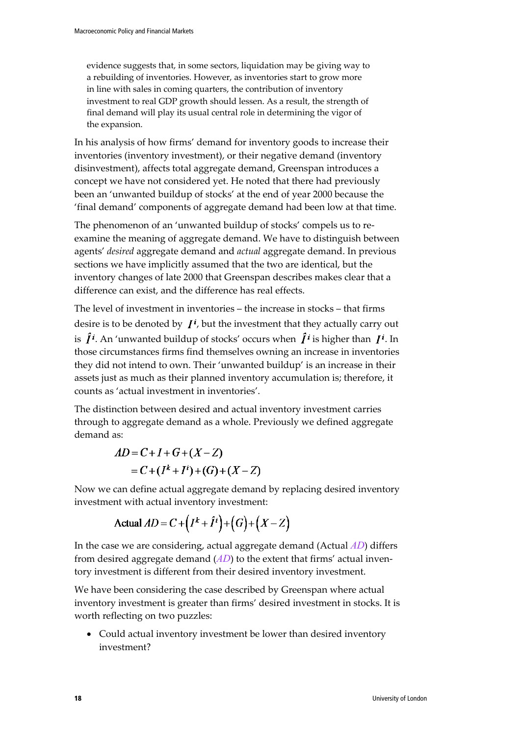evidence suggests that, in some sectors, liquidation may be giving way to a rebuilding of inventories. However, as inventories start to grow more in line with sales in coming quarters, the contribution of inventory investment to real GDP growth should lessen. As a result, the strength of final demand will play its usual central role in determining the vigor of the expansion.

In his analysis of how firms' demand for inventory goods to increase their inventories (inventory investment), or their negative demand (inventory disinvestment), affects total aggregate demand, Greenspan introduces a concept we have not considered yet. He noted that there had previously been an 'unwanted buildup of stocks' at the end of year 2000 because the 'final demand' components of aggregate demand had been low at that time.

The phenomenon of an 'unwanted buildup of stocks' compels us to reexamine the meaning of aggregate demand. We have to distinguish between agents' *desired* aggregate demand and *actual* aggregate demand. In previous sections we have implicitly assumed that the two are identical, but the inventory changes of late 2000 that Greenspan describes makes clear that a difference can exist, and the difference has real effects.

The level of investment in inventories – the increase in stocks – that firms desire is to be denoted by  $I^i$ , but the investment that they actually carry out is  $\hat{I}^i$ . An 'unwanted buildup of stocks' occurs when  $\hat{I}^i$  is higher than  $I^i$ . In those circumstances firms find themselves owning an increase in inventories they did not intend to own. Their 'unwanted buildup' is an increase in their assets just as much as their planned inventory accumulation is; therefore, it counts as 'actual investment in inventories'.

The distinction between desired and actual inventory investment carries through to aggregate demand as a whole. Previously we defined aggregate demand as:

$$
AD = C + I + G + (X - Z)
$$
  
= C + (I<sup>k</sup> + I<sup>i</sup>) + (G) + (X - Z)

Now we can define actual aggregate demand by replacing desired inventory investment with actual inventory investment:

$$
\text{Actual } AD = C + (I^k + \hat{I}^i) + (G) + (X - Z)
$$

In the case we are considering, actual aggregate demand (Actual *AD*) differs from desired aggregate demand (*AD*) to the extent that firms' actual inventory investment is different from their desired inventory investment.

We have been considering the case described by Greenspan where actual inventory investment is greater than firms' desired investment in stocks. It is worth reflecting on two puzzles:

• Could actual inventory investment be lower than desired inventory investment?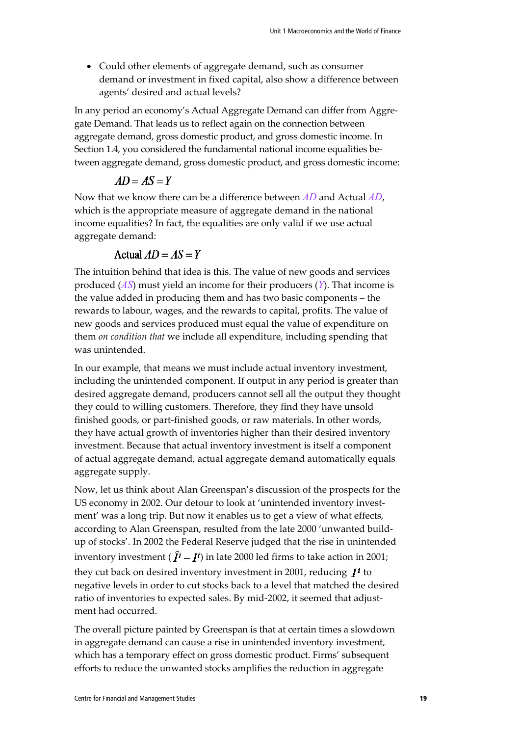• Could other elements of aggregate demand, such as consumer demand or investment in fixed capital, also show a difference between agents' desired and actual levels?

In any period an economy's Actual Aggregate Demand can differ from Aggregate Demand. That leads us to reflect again on the connection between aggregate demand, gross domestic product, and gross domestic income. In Section 1.4, you considered the fundamental national income equalities between aggregate demand, gross domestic product, and gross domestic income:

$$
AD = AS = Y
$$

Now that we know there can be a difference between *AD* and Actual *AD*, which is the appropriate measure of aggregate demand in the national income equalities? In fact, the equalities are only valid if we use actual aggregate demand:

#### Actual  $AD = AS = Y$

The intuition behind that idea is this. The value of new goods and services produced (*AS*) must yield an income for their producers (*Y*). That income is the value added in producing them and has two basic components – the rewards to labour, wages, and the rewards to capital, profits. The value of new goods and services produced must equal the value of expenditure on them *on condition that* we include all expenditure, including spending that was unintended.

In our example, that means we must include actual inventory investment, including the unintended component. If output in any period is greater than desired aggregate demand, producers cannot sell all the output they thought they could to willing customers. Therefore, they find they have unsold finished goods, or part-finished goods, or raw materials. In other words, they have actual growth of inventories higher than their desired inventory investment. Because that actual inventory investment is itself a component of actual aggregate demand, actual aggregate demand automatically equals aggregate supply.

Now, let us think about Alan Greenspan's discussion of the prospects for the US economy in 2002. Our detour to look at 'unintended inventory investment' was a long trip. But now it enables us to get a view of what effects, according to Alan Greenspan, resulted from the late 2000 'unwanted buildup of stocks'. In 2002 the Federal Reserve judged that the rise in unintended inventory investment ( $\hat{I}^i - I^i$ ) in late 2000 led firms to take action in 2001; they cut back on desired inventory investment in 2001, reducing  $I^i$  to negative levels in order to cut stocks back to a level that matched the desired ratio of inventories to expected sales. By mid-2002, it seemed that adjustment had occurred.

The overall picture painted by Greenspan is that at certain times a slowdown in aggregate demand can cause a rise in unintended inventory investment, which has a temporary effect on gross domestic product. Firms' subsequent efforts to reduce the unwanted stocks amplifies the reduction in aggregate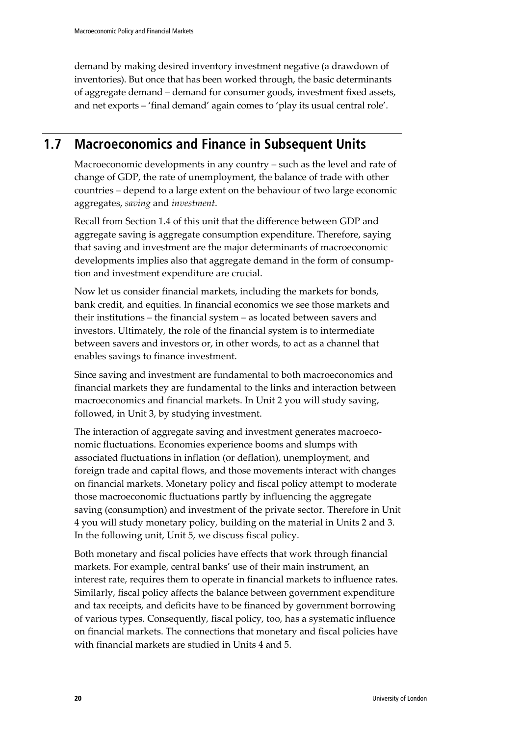demand by making desired inventory investment negative (a drawdown of inventories). But once that has been worked through, the basic determinants of aggregate demand – demand for consumer goods, investment fixed assets, and net exports – 'final demand' again comes to 'play its usual central role'.

## **1.7 Macroeconomics and Finance in Subsequent Units**

Macroeconomic developments in any country – such as the level and rate of change of GDP, the rate of unemployment, the balance of trade with other countries – depend to a large extent on the behaviour of two large economic aggregates, *saving* and *investment*.

Recall from Section 1.4 of this unit that the difference between GDP and aggregate saving is aggregate consumption expenditure. Therefore, saying that saving and investment are the major determinants of macroeconomic developments implies also that aggregate demand in the form of consumption and investment expenditure are crucial.

Now let us consider financial markets, including the markets for bonds, bank credit, and equities. In financial economics we see those markets and their institutions – the financial system – as located between savers and investors. Ultimately, the role of the financial system is to intermediate between savers and investors or, in other words, to act as a channel that enables savings to finance investment.

Since saving and investment are fundamental to both macroeconomics and financial markets they are fundamental to the links and interaction between macroeconomics and financial markets. In Unit 2 you will study saving, followed, in Unit 3, by studying investment.

The interaction of aggregate saving and investment generates macroeconomic fluctuations. Economies experience booms and slumps with associated fluctuations in inflation (or deflation), unemployment, and foreign trade and capital flows, and those movements interact with changes on financial markets. Monetary policy and fiscal policy attempt to moderate those macroeconomic fluctuations partly by influencing the aggregate saving (consumption) and investment of the private sector. Therefore in Unit 4 you will study monetary policy, building on the material in Units 2 and 3. In the following unit, Unit 5, we discuss fiscal policy.

Both monetary and fiscal policies have effects that work through financial markets. For example, central banks' use of their main instrument, an interest rate, requires them to operate in financial markets to influence rates. Similarly, fiscal policy affects the balance between government expenditure and tax receipts, and deficits have to be financed by government borrowing of various types. Consequently, fiscal policy, too, has a systematic influence on financial markets. The connections that monetary and fiscal policies have with financial markets are studied in Units 4 and 5.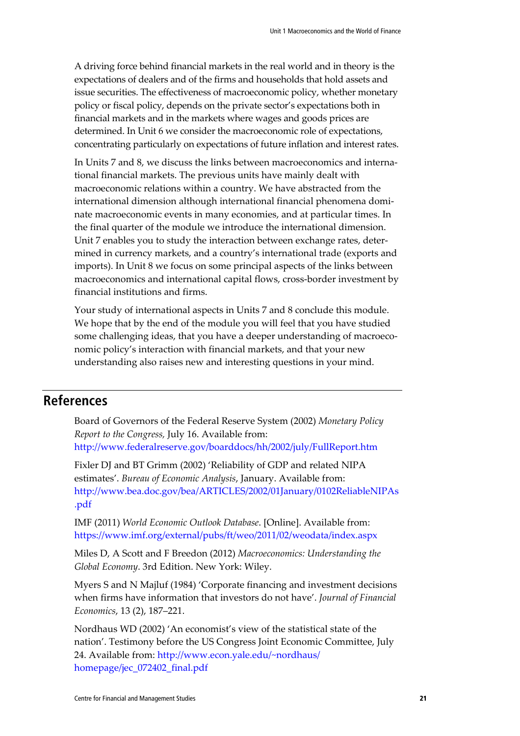A driving force behind financial markets in the real world and in theory is the expectations of dealers and of the firms and households that hold assets and issue securities. The effectiveness of macroeconomic policy, whether monetary policy or fiscal policy, depends on the private sector's expectations both in financial markets and in the markets where wages and goods prices are determined. In Unit 6 we consider the macroeconomic role of expectations, concentrating particularly on expectations of future inflation and interest rates.

In Units 7 and 8, we discuss the links between macroeconomics and international financial markets. The previous units have mainly dealt with macroeconomic relations within a country. We have abstracted from the international dimension although international financial phenomena dominate macroeconomic events in many economies, and at particular times. In the final quarter of the module we introduce the international dimension. Unit 7 enables you to study the interaction between exchange rates, determined in currency markets, and a country's international trade (exports and imports). In Unit 8 we focus on some principal aspects of the links between macroeconomics and international capital flows, cross-border investment by financial institutions and firms.

Your study of international aspects in Units 7 and 8 conclude this module. We hope that by the end of the module you will feel that you have studied some challenging ideas, that you have a deeper understanding of macroeconomic policy's interaction with financial markets, and that your new understanding also raises new and interesting questions in your mind.

### **References**

Board of Governors of the Federal Reserve System (2002) *Monetary Policy Report to the Congress,* July 16. Available from: <http://www.federalreserve.gov/boarddocs/hh/2002/july/FullReport.htm>

Fixler DJ and BT Grimm (2002) 'Reliability of GDP and related NIPA estimates'. *Bureau of Economic Analysis*, January. Available from: [http://www.bea.doc.gov/bea/ARTICLES/2002/01January/0102ReliableNIPAs](http://www.bea.doc.gov/bea/ARTICLES/2002/01January/0102ReliableNIPAs.pdf) [.pdf](http://www.bea.doc.gov/bea/ARTICLES/2002/01January/0102ReliableNIPAs.pdf)

IMF (2011) *World Economic Outlook Database*. [Online]. Available from: <https://www.imf.org/external/pubs/ft/weo/2011/02/weodata/index.aspx>

Miles D, A Scott and F Breedon (2012) *Macroeconomics: Understanding the Global Economy*. 3rd Edition. New York: Wiley.

Myers S and N Majluf (1984) 'Corporate financing and investment decisions when firms have information that investors do not have'. *Journal of Financial Economics*, 13 (2), 187–221.

Nordhaus WD (2002) 'An economist's view of the statistical state of the nation'. Testimony before the US Congress Joint Economic Committee, July 24. Available from: [http://www.econ.yale.edu/~nordhaus/](http://www.econ.yale.edu/%7Enordhaus/%E2%80%8Bhomepage/jec_072402_final.pdf) [homepage/jec\\_072402\\_final.pdf](http://www.econ.yale.edu/%7Enordhaus/%E2%80%8Bhomepage/jec_072402_final.pdf)